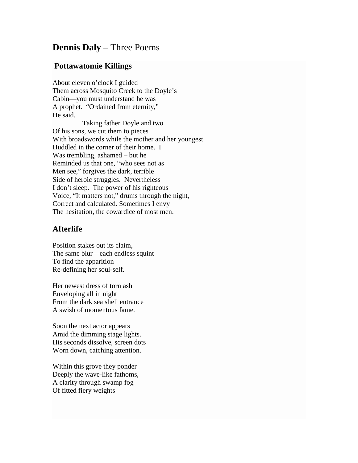## **Dennis Daly** – Three Poems

## **Pottawatomie Killings**

About eleven o'clock I guided Them across Mosquito Creek to the Doyle's Cabin—you must understand he was A prophet. "Ordained from eternity," He said.

 Taking father Doyle and two Of his sons, we cut them to pieces With broadswords while the mother and her youngest Huddled in the corner of their home. I Was trembling, ashamed – but he Reminded us that one, "who sees not as Men see," forgives the dark, terrible Side of heroic struggles. Nevertheless I don't sleep. The power of his righteous Voice, "It matters not," drums through the night, Correct and calculated. Sometimes I envy The hesitation, the cowardice of most men.

## **Afterlife**

Position stakes out its claim, The same blur—each endless squint To find the apparition Re-defining her soul-self.

Her newest dress of torn ash Enveloping all in night From the dark sea shell entrance A swish of momentous fame.

Soon the next actor appears Amid the dimming stage lights. His seconds dissolve, screen dots Worn down, catching attention.

Within this grove they ponder Deeply the wave-like fathoms, A clarity through swamp fog Of fitted fiery weights